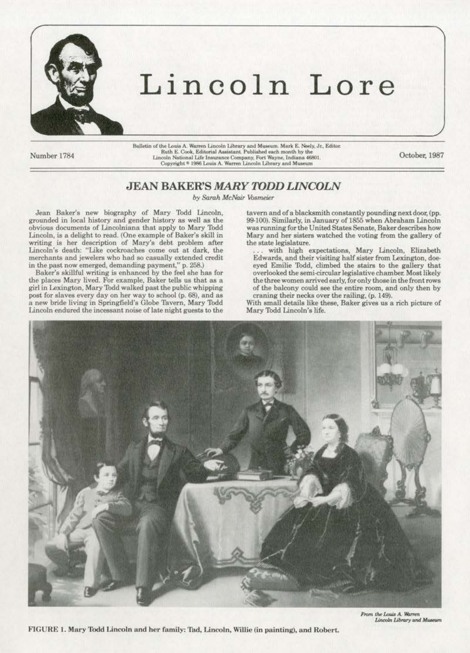

## **Lincoln Lore**

Balletin of the Louis A. Warren Lincoln Library and Museum. Mark E. Neely, Jr., Editor.<br>Ruth E. Cook, Editorial Assistant. Published each month by the<br>Lincoln National Life Insurance Company, Fort Wayne, Indiana 46801.<br>Cop

## **JEAN BAKER'S** *MARY TODD LINCOLN*

**by Sarah McNair Vosmeier** 

Jean Baker's new biography of Mary Thdd Lincoln, grounded in local history and gender history as well as the obvious documents of Lincolniana that apply to Mary Thdd Lincoln, is a delight to read. (One example of Baker's skill in **writing is her description of Mary's debt problem after Lincoln's death: "Like cockroaches come out at dark, the**  merchants and jewelers who had so casually extended credit in the past now emerged, demanding payment," p. 258.)

Baker's skillful writing is enhanced by the feel she has for the places Mary lived. For example, Baker tells us that as a girl in Lexington, Mary Thdd walked past the public whipping post for slaves every day on her way to school (p. 68), and as a new bride living in Springfield's Globe Tavern, Mary Todd Lincoln endured the incessant noise of late night guests to the

tavern and of a blacksmith constantly pounding next door, (pp. 99-100). Similarly, in January of 1855 when Abraham Lincoln was running for the United States Senate, Baker describes how Mary and her sisters watched the voting from the gallery of

with high expectations, Mary Lincoln, Elizabeth Edwards, and their visiting half sister from Lexington, doeeyed Emilie Thdd, climbed the stairs to the gallery that overlooked the semi-circular legislative cham be< Most likely **the three women arrived early, for only those in the front rows**  of the balcony could see the entire room, and only then by craning their necks over the railing, (p. 149).

With small details like these, Baker gives us a rich picture of Mary Todd Lincoln's life.



From the Louis A. Warren Lincoln Library and Museum

FIGURE 1. Mary Todd Lincoln and her family: Tad, Lincoln, Willie (in painting), and Robert.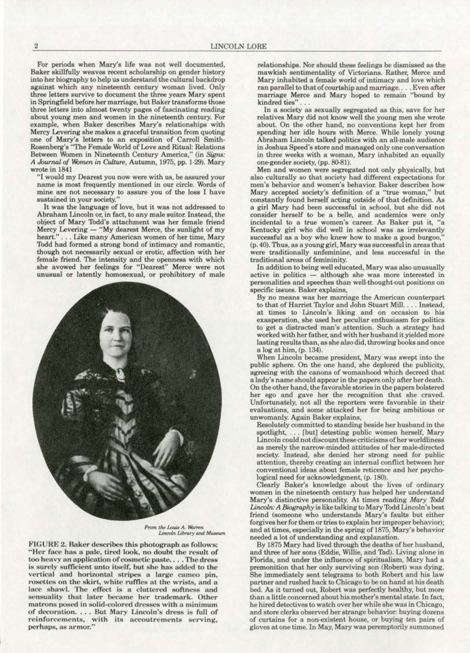**For periods when Mary's life. was not well documented.**  Baker skillfully weaves recent scholarship on gender history into her biography to help us understand the cultural backdrop **against which any nineteenth century woman lived. Only three letters survive to document the three years Mary spent**  in Springfield before her marriage, but Baker transforms those three letters into almost twenty pages of fascinating reading **about young men and women in the nineteenth century. For**  example, when Baker deseribes Mary's relationships with Mercy Levering she makes a graceful transition from quoting **one of Mary's letters to an exposition of Carroll Smith·**  Rosenberg's "The Female World of Love and Ritual: Relations Between Women in Nineteenth Century America," (in *Signs:* A Journal of Women in Culture, Autumn, 1975, pp. 1-29). Mary wrote in 1841

"I would my Dearest you now were with us, be assured your **name is most frequently mentioned in our circle. Woz:ds of mine are not necessary to assure you of the loss I have sustained in your society."** 

It was the language of love, but it was not addressed to Abraham Lincoln or, in fact, to any male suitor. Instead, the object of Mary Todd's attachment was her female friend Mercy Levering — "My dearest Merce, the sunlight of my<br>heart." . . . Like many American women of her time. Marv **heart."** ... **Like many American women of her time, Mary**  Todd had formed a strong bond of intimacy and romantic, **though not necessarily sexual or erotic, affection with her**  female friend. The intensity and the openness with which she avowed her feelings for "Dearest" Merce were not **unusual or latently homosexuaJ, or prohibitory of male** 



From the Louis A. Warren **Lincoln Library and Museum** 

~'lGURE 2. Baker describes this photograph *as* follows: "Her face has a pale, tired look. no doubt the result of **too heavy an application of cosmetic paste ..** .. **The dress**  is surely sufficient unto itself, but she has added to the vertical and horizontal stripes a large cameo pin, rosettes on the skirt, white ruffles at the wrists, and a lace shawl. The effect is a cluttered softness and sensuality that later became her trademark. Other matrons posed in solid-colored dresses with a minimum **of dcooration .** . .. **But Mary Lincoln's dress is full of**  reinforcements, with its accoutrements serving, **perhaps. as armor.''** 

relationships. Nor should these feelings be dismissed as the mawkish sentimentality of Victorians. Rather, Merce and Mary inhabited a female world of intimacy and love which ran parallel to that of courtship and marriage .... Even after marriage Merce and Mary hoped to remain "bound by **kindred ties"** ...

In a society as sexually segregated as this, save for her relatives Mary did not know well the young men she wrote **abouL On the other hand, no conventions kept her from**  spending her idle hours with Merce. While lonely young Abraham Lincoln talked politics with an all-male audience **in Joshua Speed's store and managed only one conversation in three weeks with a woman, Mary inhabited an equally**  one-gender society, (pp. 80-81).

Men and women were segregated not only physically, but also culturally so that society had different expectations for **men's behavior and women's behavior. Baker describes how Mary accepted society•s definition of a "true woman," but**  constantly found herself acting outside of that definition. As a girl Mary had been successful in school. but she did not consider herself to be a belle, and academics were only **incident.al** *to* **a true women's career.** *As* **Baker put it, "a**  Kentucky girl who did well in school was as irrelevantly successful as a boy who knew how to make a good burgoo,  $(p. 40)$ . Thus, as a young girl, Mary was successful in areas that **were traditionally unfeminine, and Jess successful in the** 

In addition to being well educated, Mary was also unusually **active in politics - although she was more interested in**  personalities and speeches than well-thought-out positions on **specific issues. Baker explains.** 

**By no means was her marriage the American counterpart**  to that of Harriet Taylor and John Stuart Mill. ..• Instead, at times to Lincoln's liking and on occasion to his exasperation, she used her peculiar enthusiasm for politics to get a distracted man's attention. Such a strategy had worked with her father, and with her husband it yielded more lasting results than, as she also did, throwing books and once a log at him, (p. 134).

When Lincoln became president, Mary was swept into the public sphere. On the one hand, she deplored the publicity, agreeing with the canons of womanhood which decreed that **a lady's name should appear in the papers only after her death.**  On the other hand, the favorable stories in the papers bolstered **her ego and gave her the recognition that she craved. Unfortunately, not all the reporters were favorable in their**  evaluations, and some attacked her for being ambitious or unwomanly. Again Baker explains,

Resolutely committed to standing beside her husband in the spotlight, ... [but] detesting public women herself, Mary **Lincoln could not discount these criticisms of her worldliness**  as merely the narrow-minded attitudes of her male-directed society. Instead, she denied her strong need for public **attention, thereby creating an internal conflict between her**  conventional ideas about female reticence and her psychological need for acknowledgment, (p. 180).

Clearly Baker's knowledge about the lives of ordinary **women in the nineteenth century has helped her understand Mary's distinctive personality. At times reading Mary** *'Ibdd Lincoln: A Bicgraphyis* like talking to Mary'lbdd Lincoln's best friend (someone who understands Mary's faults but either forgives her for them or tries to explain her improper behavior); and at times, especially in the spring of 1875, Mary's behavior needed a lot of understanding and explanation.

By 1875 Mary bad lived through the deaths of her husband, and three of her sons (Eddie, Willie, and Tad). Living alone in **Florida, and under the influence of spiritualism, Mary had a**  premonition that her only surviving son (Robert) was dying. She immediately sent telegrams to both Robert and his law partner and rushed back to Chicago to be on hand at his death bed. As it turned out, Robert was perfectly healthy, but more **than a little concerned about his mother's mental state. In fact, he hired detectives to watch over her while she was in Chicago,**  and store clerks observed her strange behavior: buying dozens of curtains for a non-existent house, or buying ten pairs of **gloves at one time. In May, Mary was peremptorily summoned**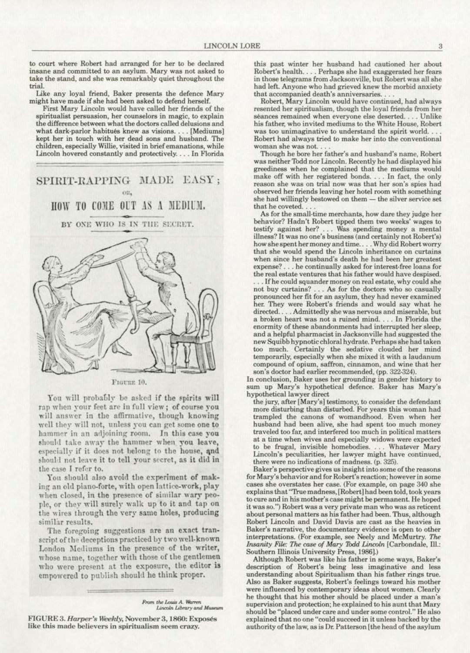to court where Robert had arranged for her to be declared insane and committed to an asylum. Mary was not asked to take the stand, and she was remarkably quiet throughout the trial

Like any loyal friend, Baker presents the defence Mary might have made if she had been asked to defend herself.

First Mary Lincoln would have called her friends of the spiritualist persuasion, her counselors in magic, to explain the difference between what the doctors called delusions and what dark-parlor habitués knew as visions.... [Mediums] kept her in touch with her dead sons and husband. The children, especially Willie, visited in brief emanations, while Lincoln hovered constantly and protectively.... In Florida

SPIRIT-RAPPING MADE EASY; on. HOW TO COME OUT AS A MEDIUM. BY ONE WHO IS IN THE SECRET.

FIGURE 10.

You will probably be asked if the spirits will rap when your feet are in full view; of course you will answer in the affirmative, though knowing well they will not, unless you can get some one to hammer in an adjoining room. In this case you should take away the hammer when you leave, especially if it does not belong to the house, and should not leave it to tell your secret, as it did in the case I refer to.

You should also avoid the experiment of making an old piano-forte, with open lattice-work, play when closed, in the presence of similar wary people, or they will surely walk up to it and tap on the wires through the very same holes, producing similar results.

The foregoing suggestions are an exact transcript of the deceptions practiced by two well-known London Mediums in the presence of the writer, whose name, together with those of the gentlemen who were present at the exposure, the editor is empowered to publish should he think proper.

> From the Louis A. Warren Lincoln Library and Museum

FIGURE 3. Harper's Weekly, November 3, 1860: Exposés like this made believers in spiritualism seem crazy.

this past winter her husband had cautioned her about Robert's health.... Perhaps she had exaggerated her fears in those telegrams from Jacksonville, but Robert was all she had left. Anyone who had grieved knew the morbid anxiety that accompanied death's anniversaries.

Robert, Mary Lincoln would have continued, had always resented her spiritualism, though the loyal friends from her séances remained when everyone else deserted.... Unlike his father, who invited mediums to the White House, Robert was too unimaginative to understand the spirit world... Robert had always tried to make her into the conventional woman she was not.

Though he bore her father's and husband's name, Robert was neither Todd nor Lincoln. Recently he had displayed his greediness when he complained that the mediums would make off with her registered bonds. . . . In fact, the only reason she was on trial now was that her son's spies had observed her friends leaving her hotel room with something she had willingly bestowed on them - the silver service set that he coveted.

As for the small-time merchants, how dare they judge her behavior? Hadn't Robert tipped them two weeks' wages to testify against her? ... Was spending money a mental illness? It was no one's business (and certainly not Robert's) how she spent her money and time.... Why did Robert worry that she would spend the Lincoln inheritance on curtains when since her husband's death he had been her greatest expense?...he continually asked for interest-free loans for the real estate ventures that his father would have despised. ... If he could squander money on real estate, why could she not buy curtains? ... As for the doctors who so casually pronounced her fit for an asylum, they had never examined<br>her. They were Robert's friends and would say what he directed....Admittedly she was nervous and miserable, but a broken heart was not a ruined mind. . . . In Florida the enormity of these abandonments had interrupted her sleep, and a helpful pharmacist in Jacksonville had suggested the new Squibb hypnotic chloral hydrate. Perhaps she had taken too much. Certainly the sedative clouded her mind temporarily, especially when she mixed it with a laudanum compound of opium, saffron, cinnamon, and wine that her son's doctor had earlier recommended, (pp. 322-324)

In conclusion, Baker uses her grounding in gender history to sum up Mary's hypothetical defence. Baker has Mary's hypothetical lawyer direct

the jury, after [Mary's] testimony, to consider the defendant more disturbing than disturbed. For years this woman had trampled the canons of womandhood. Even when her husband had been alive, she had spent too much money traveled too far, and interfered too much in political matters at a time when wives and especially widows were expected to be frugal, invisible homebodies. ... Whatever Mary Lincoln's peculiarities, her lawyer might have continued, there were no indications of madness. (p. 325).

Baker's perspective gives us insight into some of the reasons for Mary's behavior and for Robert's reaction; however in some cases she overstates her case. (For example, on page 340 she explains that "True madness, [Robert] had been told, took years to cure and in his mother's case might be permanent. He hoped it was so.") Robert was a very private man who was as reticent about personal matters as his father had been. Thus, although Robert Lincoln and David Davis are cast as the heavies in Baker's narrative, the documentary evidence is open to other interpretations. (For example, see Neely and McMurtry. The Insanity File: The case of Mary Todd Lincoln [Carbondale, Ill.: Southern Illinois University Press, 1986].)

Although Robert was like his father in some ways, Baker's description of Robert's being less imaginative and less understanding about Spiritualism than his father rings true. Also as Baker suggests, Robert's feelings toward his mother were influenced by contemporary ideas about women. Clearly he thought that his mother should be placed under a man's supervision and protection; he explained to his aunt that Mary should be "placed under care and under some control." He also explained that no one "could succeed in it unless backed by the authority of the law, as is Dr. Patterson [the head of the asylum